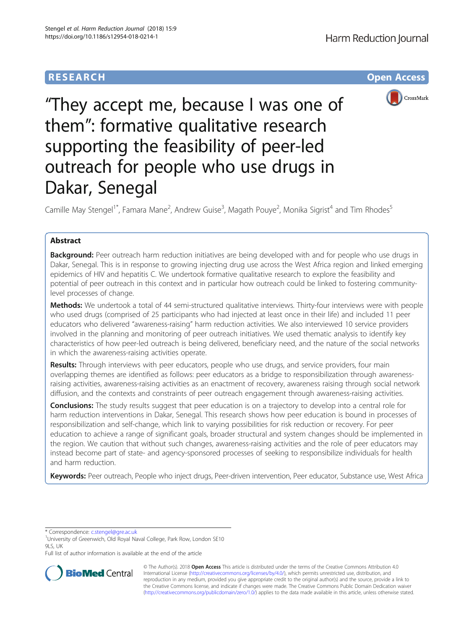# **RESEARCH RESEARCH** *CONSTRUCTER CONSTRUCTER AND CONSTRUCTER OPEN ACCESS*



"They accept me, because I was one of them": formative qualitative research supporting the feasibility of peer-led outreach for people who use drugs in Dakar, Senegal

Camille May Stengel<sup>1\*</sup>, Famara Mane<sup>2</sup>, Andrew Guise<sup>3</sup>, Magath Pouye<sup>2</sup>, Monika Sigrist<sup>4</sup> and Tim Rhodes<sup>5</sup>

# Abstract

Background: Peer outreach harm reduction initiatives are being developed with and for people who use drugs in Dakar, Senegal. This is in response to growing injecting drug use across the West Africa region and linked emerging epidemics of HIV and hepatitis C. We undertook formative qualitative research to explore the feasibility and potential of peer outreach in this context and in particular how outreach could be linked to fostering communitylevel processes of change.

Methods: We undertook a total of 44 semi-structured qualitative interviews. Thirty-four interviews were with people who used drugs (comprised of 25 participants who had injected at least once in their life) and included 11 peer educators who delivered "awareness-raising" harm reduction activities. We also interviewed 10 service providers involved in the planning and monitoring of peer outreach initiatives. We used thematic analysis to identify key characteristics of how peer-led outreach is being delivered, beneficiary need, and the nature of the social networks in which the awareness-raising activities operate.

Results: Through interviews with peer educators, people who use drugs, and service providers, four main overlapping themes are identified as follows: peer educators as a bridge to responsibilization through awarenessraising activities, awareness-raising activities as an enactment of recovery, awareness raising through social network diffusion, and the contexts and constraints of peer outreach engagement through awareness-raising activities.

**Conclusions:** The study results suggest that peer education is on a trajectory to develop into a central role for harm reduction interventions in Dakar, Senegal. This research shows how peer education is bound in processes of responsibilization and self-change, which link to varying possibilities for risk reduction or recovery. For peer education to achieve a range of significant goals, broader structural and system changes should be implemented in the region. We caution that without such changes, awareness-raising activities and the role of peer educators may instead become part of state- and agency-sponsored processes of seeking to responsibilize individuals for health and harm reduction.

Keywords: Peer outreach, People who inject drugs, Peer-driven intervention, Peer educator, Substance use, West Africa

\* Correspondence: [c.stengel@gre.ac.uk](mailto:c.stengel@gre.ac.uk) <sup>1</sup>

<sup>1</sup>University of Greenwich, Old Royal Naval College, Park Row, London SE10 9LS, UK

Full list of author information is available at the end of the article



© The Author(s). 2018 Open Access This article is distributed under the terms of the Creative Commons Attribution 4.0 International License [\(http://creativecommons.org/licenses/by/4.0/](http://creativecommons.org/licenses/by/4.0/)), which permits unrestricted use, distribution, and reproduction in any medium, provided you give appropriate credit to the original author(s) and the source, provide a link to the Creative Commons license, and indicate if changes were made. The Creative Commons Public Domain Dedication waiver [\(http://creativecommons.org/publicdomain/zero/1.0/](http://creativecommons.org/publicdomain/zero/1.0/)) applies to the data made available in this article, unless otherwise stated.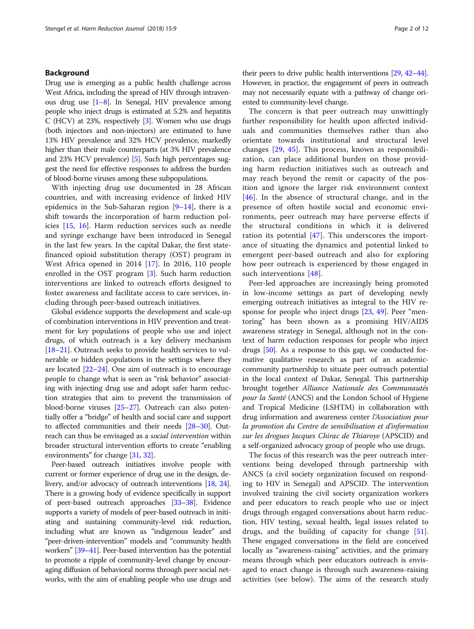## Background

Drug use is emerging as a public health challenge across West Africa, including the spread of HIV through intravenous drug use [[1](#page-9-0)–[8\]](#page-9-0). In Senegal, HIV prevalence among people who inject drugs is estimated at 5.2% and hepatitis C (HCV) at 23%, respectively [\[3](#page-9-0)]. Women who use drugs (both injectors and non-injectors) are estimated to have 13% HIV prevalence and 32% HCV prevalence, markedly higher than their male counterparts (at 3% HIV prevalence and 23% HCV prevalence) [[5](#page-9-0)]. Such high percentages suggest the need for effective responses to address the burden of blood-borne viruses among these subpopulations.

With injecting drug use documented in 28 African countries, and with increasing evidence of linked HIV epidemics in the Sub-Saharan region [[9](#page-9-0)–[14\]](#page-10-0), there is a shift towards the incorporation of harm reduction policies [\[15](#page-10-0), [16\]](#page-10-0). Harm reduction services such as needle and syringe exchange have been introduced in Senegal in the last few years. In the capital Dakar, the first statefinanced opioid substitution therapy (OST) program in West Africa opened in 2014 [[17](#page-10-0)]. In 2016, 110 people enrolled in the OST program [[3\]](#page-9-0). Such harm reduction interventions are linked to outreach efforts designed to foster awareness and facilitate access to care services, including through peer-based outreach initiatives.

Global evidence supports the development and scale-up of combination interventions in HIV prevention and treatment for key populations of people who use and inject drugs, of which outreach is a key delivery mechanism [[18](#page-10-0)–[21\]](#page-10-0). Outreach seeks to provide health services to vulnerable or hidden populations in the settings where they are located  $[22-24]$  $[22-24]$  $[22-24]$  $[22-24]$ . One aim of outreach is to encourage people to change what is seen as "risk behavior" associating with injecting drug use and adopt safer harm reduction strategies that aim to prevent the transmission of blood-borne viruses [[25](#page-10-0)–[27\]](#page-10-0). Outreach can also potentially offer a "bridge" of health and social care and support to affected communities and their needs [\[28](#page-10-0)–[30](#page-10-0)]. Outreach can thus be envisaged as a social intervention within broader structural intervention efforts to create "enabling environments" for change [[31](#page-10-0), [32\]](#page-10-0).

Peer-based outreach initiatives involve people with current or former experience of drug use in the design, delivery, and/or advocacy of outreach interventions [[18](#page-10-0), [24](#page-10-0)]. There is a growing body of evidence specifically in support of peer-based outreach approaches [\[33](#page-10-0)–[38\]](#page-10-0). Evidence supports a variety of models of peer-based outreach in initiating and sustaining community-level risk reduction, including what are known as "indigenous leader" and "peer-driven-intervention" models and "community health workers" [\[39](#page-10-0)–[41\]](#page-10-0). Peer-based intervention has the potential to promote a ripple of community-level change by encouraging diffusion of behavioral norms through peer social networks, with the aim of enabling people who use drugs and their peers to drive public health interventions [\[29,](#page-10-0) [42](#page-10-0)–[44](#page-10-0)]. However, in practice, the engagement of peers in outreach may not necessarily equate with a pathway of change oriented to community-level change.

The concern is that peer outreach may unwittingly further responsibility for health upon affected individuals and communities themselves rather than also orientate towards institutional and structural level changes [\[29](#page-10-0), [45\]](#page-10-0). This process, known as responsibilization, can place additional burden on those providing harm reduction initiatives such as outreach and may reach beyond the remit or capacity of the position and ignore the larger risk environment context [[46\]](#page-10-0). In the absence of structural change, and in the presence of often hostile social and economic environments, peer outreach may have perverse effects if the structural conditions in which it is delivered ration its potential [\[47](#page-10-0)]. This underscores the importance of situating the dynamics and potential linked to emergent peer-based outreach and also for exploring how peer outreach is experienced by those engaged in such interventions [[48](#page-10-0)].

Peer-led approaches are increasingly being promoted in low-income settings as part of developing newly emerging outreach initiatives as integral to the HIV response for people who inject drugs [[23,](#page-10-0) [49](#page-10-0)]. Peer "mentoring" has been shown as a promising HIV/AIDS awareness strategy in Senegal, although not in the context of harm reduction responses for people who inject drugs [[50](#page-10-0)]. As a response to this gap, we conducted formative qualitative research as part of an academiccommunity partnership to situate peer outreach potential in the local context of Dakar, Senegal. This partnership brought together Alliance Nationale des Communautés pour la Santé (ANCS) and the London School of Hygiene and Tropical Medicine (LSHTM) in collaboration with drug information and awareness center l'Association pour la promotion du Centre de sensibilisation et d'information sur les drogues Jacques Chirac de Thiaroye (APSCID) and a self-organized advocacy group of people who use drugs.

The focus of this research was the peer outreach interventions being developed through partnership with ANCS (a civil society organization focused on responding to HIV in Senegal) and APSCID. The intervention involved training the civil society organization workers and peer educators to reach people who use or inject drugs through engaged conversations about harm reduction, HIV testing, sexual health, legal issues related to drugs, and the building of capacity for change [\[51](#page-10-0)]. These engaged conversations in the field are conceived locally as "awareness-raising" activities, and the primary means through which peer educators outreach is envisaged to enact change is through such awareness-raising activities (see below). The aims of the research study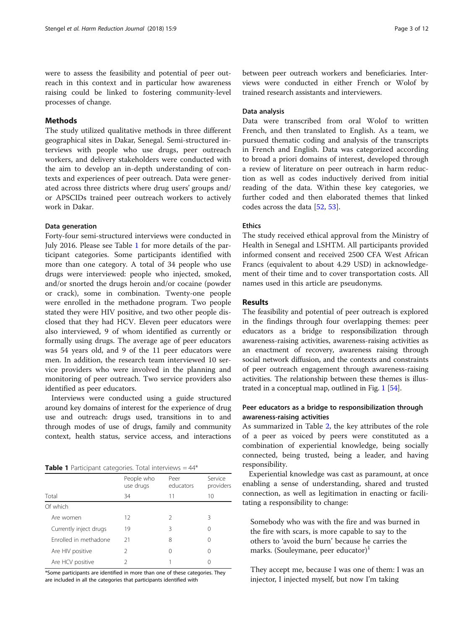were to assess the feasibility and potential of peer outreach in this context and in particular how awareness raising could be linked to fostering community-level processes of change.

### Methods

The study utilized qualitative methods in three different geographical sites in Dakar, Senegal. Semi-structured interviews with people who use drugs, peer outreach workers, and delivery stakeholders were conducted with the aim to develop an in-depth understanding of contexts and experiences of peer outreach. Data were generated across three districts where drug users' groups and/ or APSCIDs trained peer outreach workers to actively work in Dakar.

#### Data generation

Forty-four semi-structured interviews were conducted in July 2016. Please see Table 1 for more details of the participant categories. Some participants identified with more than one category. A total of 34 people who use drugs were interviewed: people who injected, smoked, and/or snorted the drugs heroin and/or cocaine (powder or crack), some in combination. Twenty-one people were enrolled in the methadone program. Two people stated they were HIV positive, and two other people disclosed that they had HCV. Eleven peer educators were also interviewed, 9 of whom identified as currently or formally using drugs. The average age of peer educators was 54 years old, and 9 of the 11 peer educators were men. In addition, the research team interviewed 10 service providers who were involved in the planning and monitoring of peer outreach. Two service providers also identified as peer educators.

Interviews were conducted using a guide structured around key domains of interest for the experience of drug use and outreach: drugs used, transitions in to and through modes of use of drugs, family and community context, health status, service access, and interactions

**Table 1** Participant categories. Total interviews  $= 44*$ 

|                        | People who<br>use drugs | Peer<br>educators | Service<br>providers |
|------------------------|-------------------------|-------------------|----------------------|
| Total                  | 34                      | 11                | 10                   |
| Of which               |                         |                   |                      |
| Are women              | 12                      | $\mathcal{P}$     | 3                    |
| Currently inject drugs | 19                      | 3                 | 0                    |
| Enrolled in methadone  | 21                      | 8                 | $\left( \right)$     |
| Are HIV positive       | 2                       | Ω                 | 0                    |
| Are HCV positive       | フ                       |                   | 0                    |
|                        |                         |                   |                      |

\*Some participants are identified in more than one of these categories. They are included in all the categories that participants identified with

between peer outreach workers and beneficiaries. Interviews were conducted in either French or Wolof by trained research assistants and interviewers.

## Data analysis

Data were transcribed from oral Wolof to written French, and then translated to English. As a team, we pursued thematic coding and analysis of the transcripts in French and English. Data was categorized according to broad a priori domains of interest, developed through a review of literature on peer outreach in harm reduction as well as codes inductively derived from initial reading of the data. Within these key categories, we further coded and then elaborated themes that linked codes across the data [[52,](#page-10-0) [53](#page-10-0)].

#### **Ethics**

The study received ethical approval from the Ministry of Health in Senegal and LSHTM. All participants provided informed consent and received 2500 CFA West African Francs (equivalent to about 4.29 USD) in acknowledgement of their time and to cover transportation costs. All names used in this article are pseudonyms.

#### Results

The feasibility and potential of peer outreach is explored in the findings through four overlapping themes: peer educators as a bridge to responsibilization through awareness-raising activities, awareness-raising activities as an enactment of recovery, awareness raising through social network diffusion, and the contexts and constraints of peer outreach engagement through awareness-raising activities. The relationship between these themes is illustrated in a conceptual map, outlined in Fig. [1](#page-3-0) [\[54\]](#page-10-0).

## Peer educators as a bridge to responsibilization through awareness-raising activities

As summarized in Table [2](#page-4-0), the key attributes of the role of a peer as voiced by peers were constituted as a combination of experiential knowledge, being socially connected, being trusted, being a leader, and having responsibility.

Experiential knowledge was cast as paramount, at once enabling a sense of understanding, shared and trusted connection, as well as legitimation in enacting or facilitating a responsibility to change:

Somebody who was with the fire and was burned in the fire with scars, is more capable to say to the others to 'avoid the burn' because he carries the marks. (Souleymane, peer educator)<sup>1</sup>

They accept me, because I was one of them: I was an injector, I injected myself, but now I'm taking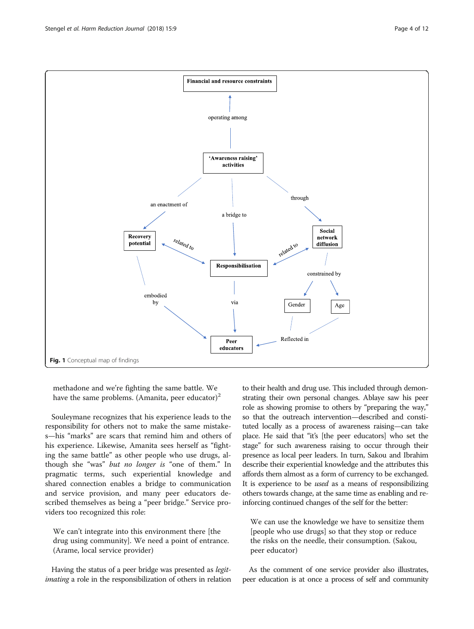<span id="page-3-0"></span>

methadone and we're fighting the same battle. We have the same problems. (Amanita, peer educator)<sup>2</sup>

Souleymane recognizes that his experience leads to the responsibility for others not to make the same mistakes—his "marks" are scars that remind him and others of his experience. Likewise, Amanita sees herself as "fighting the same battle" as other people who use drugs, although she "was" but no longer is "one of them." In pragmatic terms, such experiential knowledge and shared connection enables a bridge to communication and service provision, and many peer educators described themselves as being a "peer bridge." Service providers too recognized this role:

We can't integrate into this environment there [the drug using community]. We need a point of entrance. (Arame, local service provider)

Having the status of a peer bridge was presented as *legit*imating a role in the responsibilization of others in relation to their health and drug use. This included through demonstrating their own personal changes. Ablaye saw his peer role as showing promise to others by "preparing the way," so that the outreach intervention—described and constituted locally as a process of awareness raising—can take place. He said that "it's [the peer educators] who set the stage" for such awareness raising to occur through their presence as local peer leaders. In turn, Sakou and Ibrahim describe their experiential knowledge and the attributes this affords them almost as a form of currency to be exchanged. It is experience to be used as a means of responsibilizing others towards change, at the same time as enabling and reinforcing continued changes of the self for the better:

We can use the knowledge we have to sensitize them [people who use drugs] so that they stop or reduce the risks on the needle, their consumption. (Sakou, peer educator)

As the comment of one service provider also illustrates, peer education is at once a process of self and community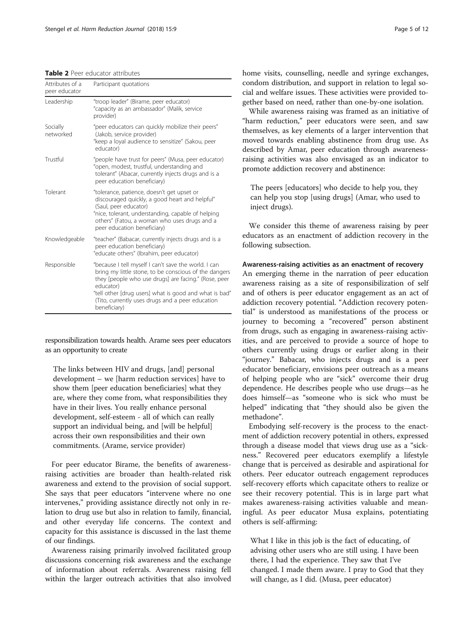#### <span id="page-4-0"></span>Table 2 Peer educator attributes

| Attributes of a<br>peer educator | Participant quotations                                                                                                                                                                                                                                                                                           |
|----------------------------------|------------------------------------------------------------------------------------------------------------------------------------------------------------------------------------------------------------------------------------------------------------------------------------------------------------------|
| Leadership                       | "troop leader" (Birame, peer educator)<br>"capacity as an ambassador" (Malik, service<br>provider)                                                                                                                                                                                                               |
| Socially<br>networked            | "peer educators can quickly mobilize their peers"<br>(Jakob, service provider)<br>"keep a loyal audience to sensitize" (Sakou, peer<br>educator)                                                                                                                                                                 |
| Trustful                         | "people have trust for peers" (Musa, peer educator)<br>"open, modest, trustful, understanding and<br>tolerant" (Abacar, currently injects drugs and is a<br>peer education beneficiary)                                                                                                                          |
| Tolerant                         | "tolerance, patience, doesn't get upset or<br>discouraged quickly, a good heart and helpful"<br>(Saul, peer educator)<br>"nice, tolerant, understanding, capable of helping<br>others" (Fatou, a woman who uses drugs and a<br>peer education beneficiary)                                                       |
| Knowledgeable                    | "teacher" (Babacar, currently injects drugs and is a<br>peer education beneficiary)<br>"educate others" (Ibrahim, peer educator)                                                                                                                                                                                 |
| Responsible                      | "because I tell myself I can't save the world. I can<br>bring my little stone, to be conscious of the dangers<br>they [people who use drugs] are facing." (Rose, peer<br>educator)<br>"tell other [drug users] what is good and what is bad"<br>(Tito, currently uses drugs and a peer education<br>beneficiary) |

responsibilization towards health. Arame sees peer educators as an opportunity to create

The links between HIV and drugs, [and] personal development – we [harm reduction services] have to show them [peer education beneficiaries] what they are, where they come from, what responsibilities they have in their lives. You really enhance personal development, self-esteem - all of which can really support an individual being, and [will be helpful] across their own responsibilities and their own commitments. (Arame, service provider)

For peer educator Birame, the benefits of awarenessraising activities are broader than health-related risk awareness and extend to the provision of social support. She says that peer educators "intervene where no one intervenes," providing assistance directly not only in relation to drug use but also in relation to family, financial, and other everyday life concerns. The context and capacity for this assistance is discussed in the last theme of our findings.

Awareness raising primarily involved facilitated group discussions concerning risk awareness and the exchange of information about referrals. Awareness raising fell within the larger outreach activities that also involved home visits, counselling, needle and syringe exchanges, condom distribution, and support in relation to legal social and welfare issues. These activities were provided together based on need, rather than one-by-one isolation.

While awareness raising was framed as an initiative of "harm reduction," peer educators were seen, and saw themselves, as key elements of a larger intervention that moved towards enabling abstinence from drug use. As described by Amar, peer education through awarenessraising activities was also envisaged as an indicator to promote addiction recovery and abstinence:

The peers [educators] who decide to help you, they can help you stop [using drugs] (Amar, who used to inject drugs).

We consider this theme of awareness raising by peer educators as an enactment of addiction recovery in the following subsection.

## Awareness-raising activities as an enactment of recovery

An emerging theme in the narration of peer education awareness raising as a site of responsibilization of self and of others is peer educator engagement as an act of addiction recovery potential. "Addiction recovery potential" is understood as manifestations of the process or journey to becoming a "recovered" person abstinent from drugs, such as engaging in awareness-raising activities, and are perceived to provide a source of hope to others currently using drugs or earlier along in their "journey." Babacar, who injects drugs and is a peer educator beneficiary, envisions peer outreach as a means of helping people who are "sick" overcome their drug dependence. He describes people who use drugs—as he does himself—as "someone who is sick who must be helped" indicating that "they should also be given the methadone".

Embodying self-recovery is the process to the enactment of addiction recovery potential in others, expressed through a disease model that views drug use as a "sickness." Recovered peer educators exemplify a lifestyle change that is perceived as desirable and aspirational for others. Peer educator outreach engagement reproduces self-recovery efforts which capacitate others to realize or see their recovery potential. This is in large part what makes awareness-raising activities valuable and meaningful. As peer educator Musa explains, potentiating others is self-affirming:

What I like in this job is the fact of educating, of advising other users who are still using. I have been there, I had the experience. They saw that I've changed. I made them aware. I pray to God that they will change, as I did. (Musa, peer educator)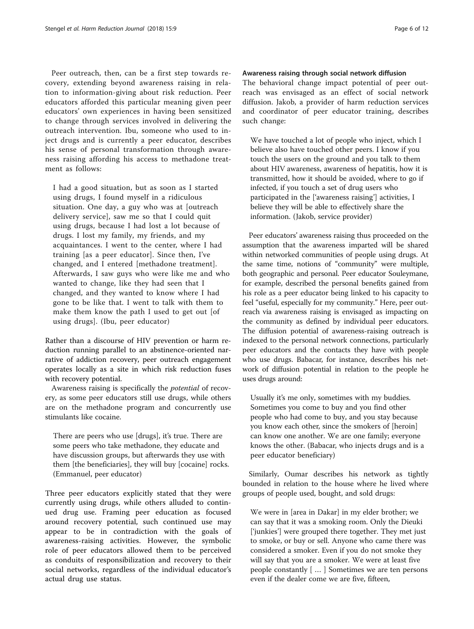Peer outreach, then, can be a first step towards recovery, extending beyond awareness raising in relation to information-giving about risk reduction. Peer educators afforded this particular meaning given peer educators' own experiences in having been sensitized to change through services involved in delivering the outreach intervention. Ibu, someone who used to inject drugs and is currently a peer educator, describes his sense of personal transformation through awareness raising affording his access to methadone treatment as follows:

I had a good situation, but as soon as I started using drugs, I found myself in a ridiculous situation. One day, a guy who was at [outreach delivery service], saw me so that I could quit using drugs, because I had lost a lot because of drugs. I lost my family, my friends, and my acquaintances. I went to the center, where I had training [as a peer educator]. Since then, I've changed, and I entered [methadone treatment]. Afterwards, I saw guys who were like me and who wanted to change, like they had seen that I changed, and they wanted to know where I had gone to be like that. I went to talk with them to make them know the path I used to get out [of using drugs]. (Ibu, peer educator)

Rather than a discourse of HIV prevention or harm reduction running parallel to an abstinence-oriented narrative of addiction recovery, peer outreach engagement operates locally as a site in which risk reduction fuses with recovery potential.

Awareness raising is specifically the potential of recovery, as some peer educators still use drugs, while others are on the methadone program and concurrently use stimulants like cocaine.

There are peers who use [drugs], it's true. There are some peers who take methadone, they educate and have discussion groups, but afterwards they use with them [the beneficiaries], they will buy [cocaine] rocks. (Emmanuel, peer educator)

Three peer educators explicitly stated that they were currently using drugs, while others alluded to continued drug use. Framing peer education as focused around recovery potential, such continued use may appear to be in contradiction with the goals of awareness-raising activities. However, the symbolic role of peer educators allowed them to be perceived as conduits of responsibilization and recovery to their social networks, regardless of the individual educator's actual drug use status.

## Awareness raising through social network diffusion

The behavioral change impact potential of peer outreach was envisaged as an effect of social network diffusion. Jakob, a provider of harm reduction services and coordinator of peer educator training, describes such change:

We have touched a lot of people who inject, which I believe also have touched other peers. I know if you touch the users on the ground and you talk to them about HIV awareness, awareness of hepatitis, how it is transmitted, how it should be avoided, where to go if infected, if you touch a set of drug users who participated in the ['awareness raising'] activities, I believe they will be able to effectively share the information. (Jakob, service provider)

Peer educators' awareness raising thus proceeded on the assumption that the awareness imparted will be shared within networked communities of people using drugs. At the same time, notions of "community" were multiple, both geographic and personal. Peer educator Souleymane, for example, described the personal benefits gained from his role as a peer educator being linked to his capacity to feel "useful, especially for my community." Here, peer outreach via awareness raising is envisaged as impacting on the community as defined by individual peer educators. The diffusion potential of awareness-raising outreach is indexed to the personal network connections, particularly peer educators and the contacts they have with people who use drugs. Babacar, for instance, describes his network of diffusion potential in relation to the people he uses drugs around:

Usually it's me only, sometimes with my buddies. Sometimes you come to buy and you find other people who had come to buy, and you stay because you know each other, since the smokers of [heroin] can know one another. We are one family; everyone knows the other. (Babacar, who injects drugs and is a peer educator beneficiary)

Similarly, Oumar describes his network as tightly bounded in relation to the house where he lived where groups of people used, bought, and sold drugs:

We were in [area in Dakar] in my elder brother; we can say that it was a smoking room. Only the Dieuki ['junkies'] were grouped there together. They met just to smoke, or buy or sell. Anyone who came there was considered a smoker. Even if you do not smoke they will say that you are a smoker. We were at least five people constantly [ … ] Sometimes we are ten persons even if the dealer come we are five, fifteen,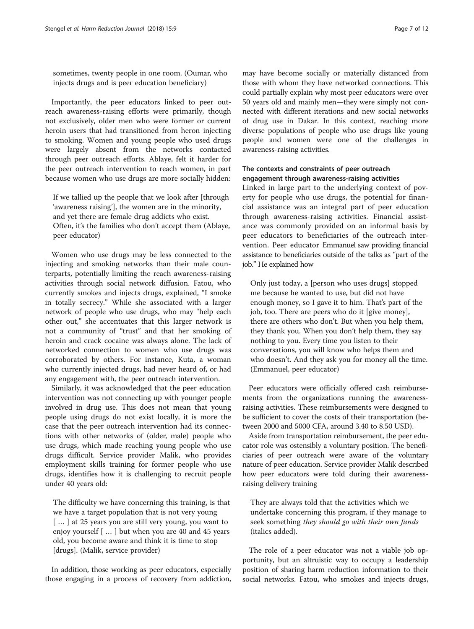sometimes, twenty people in one room. (Oumar, who injects drugs and is peer education beneficiary)

Importantly, the peer educators linked to peer outreach awareness-raising efforts were primarily, though not exclusively, older men who were former or current heroin users that had transitioned from heron injecting to smoking. Women and young people who used drugs were largely absent from the networks contacted through peer outreach efforts. Ablaye, felt it harder for the peer outreach intervention to reach women, in part because women who use drugs are more socially hidden:

If we tallied up the people that we look after [through 'awareness raising'], the women are in the minority, and yet there are female drug addicts who exist. Often, it's the families who don't accept them (Ablaye, peer educator)

Women who use drugs may be less connected to the injecting and smoking networks than their male counterparts, potentially limiting the reach awareness-raising activities through social network diffusion. Fatou, who currently smokes and injects drugs, explained, "I smoke in totally secrecy." While she associated with a larger network of people who use drugs, who may "help each other out," she accentuates that this larger network is not a community of "trust" and that her smoking of heroin and crack cocaine was always alone. The lack of networked connection to women who use drugs was corroborated by others. For instance, Kuta, a woman who currently injected drugs, had never heard of, or had any engagement with, the peer outreach intervention.

Similarly, it was acknowledged that the peer education intervention was not connecting up with younger people involved in drug use. This does not mean that young people using drugs do not exist locally, it is more the case that the peer outreach intervention had its connections with other networks of (older, male) people who use drugs, which made reaching young people who use drugs difficult. Service provider Malik, who provides employment skills training for former people who use drugs, identifies how it is challenging to recruit people under 40 years old:

The difficulty we have concerning this training, is that we have a target population that is not very young [...] at 25 years you are still very young, you want to enjoy yourself [ … ] but when you are 40 and 45 years old, you become aware and think it is time to stop [drugs]. (Malik, service provider)

In addition, those working as peer educators, especially those engaging in a process of recovery from addiction,

may have become socially or materially distanced from those with whom they have networked connections. This could partially explain why most peer educators were over 50 years old and mainly men—they were simply not connected with different iterations and new social networks of drug use in Dakar. In this context, reaching more diverse populations of people who use drugs like young people and women were one of the challenges in awareness-raising activities.

## The contexts and constraints of peer outreach engagement through awareness-raising activities

Linked in large part to the underlying context of poverty for people who use drugs, the potential for financial assistance was an integral part of peer education through awareness-raising activities. Financial assistance was commonly provided on an informal basis by peer educators to beneficiaries of the outreach intervention. Peer educator Emmanuel saw providing financial assistance to beneficiaries outside of the talks as "part of the job." He explained how

Only just today, a [person who uses drugs] stopped me because he wanted to use, but did not have enough money, so I gave it to him. That's part of the job, too. There are peers who do it [give money], there are others who don't. But when you help them, they thank you. When you don't help them, they say nothing to you. Every time you listen to their conversations, you will know who helps them and who doesn't. And they ask you for money all the time. (Emmanuel, peer educator)

Peer educators were officially offered cash reimbursements from the organizations running the awarenessraising activities. These reimbursements were designed to be sufficient to cover the costs of their transportation (between 2000 and 5000 CFA, around 3.40 to 8.50 USD).

Aside from transportation reimbursement, the peer educator role was ostensibly a voluntary position. The beneficiaries of peer outreach were aware of the voluntary nature of peer education. Service provider Malik described how peer educators were told during their awarenessraising delivery training

They are always told that the activities which we undertake concerning this program, if they manage to seek something they should go with their own funds (italics added).

The role of a peer educator was not a viable job opportunity, but an altruistic way to occupy a leadership position of sharing harm reduction information to their social networks. Fatou, who smokes and injects drugs,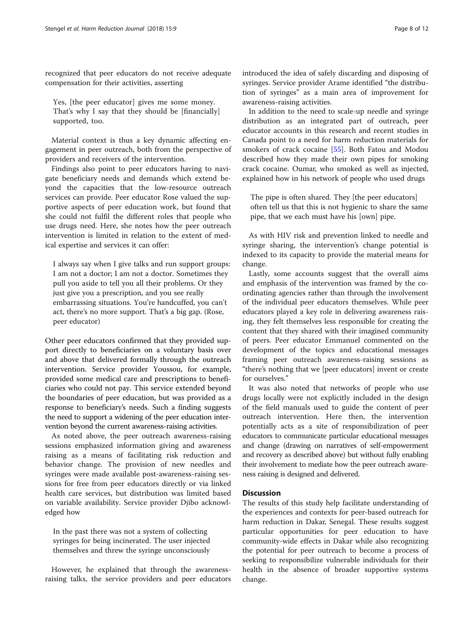recognized that peer educators do not receive adequate compensation for their activities, asserting

Yes, [the peer educator] gives me some money. That's why I say that they should be [financially] supported, too.

Material context is thus a key dynamic affecting engagement in peer outreach, both from the perspective of providers and receivers of the intervention.

Findings also point to peer educators having to navigate beneficiary needs and demands which extend beyond the capacities that the low-resource outreach services can provide. Peer educator Rose valued the supportive aspects of peer education work, but found that she could not fulfil the different roles that people who use drugs need. Here, she notes how the peer outreach intervention is limited in relation to the extent of medical expertise and services it can offer:

I always say when I give talks and run support groups: I am not a doctor; I am not a doctor. Sometimes they pull you aside to tell you all their problems. Or they just give you a prescription, and you see really embarrassing situations. You're handcuffed, you can't act, there's no more support. That's a big gap. (Rose, peer educator)

Other peer educators confirmed that they provided support directly to beneficiaries on a voluntary basis over and above that delivered formally through the outreach intervention. Service provider Youssou, for example, provided some medical care and prescriptions to beneficiaries who could not pay. This service extended beyond the boundaries of peer education, but was provided as a response to beneficiary's needs. Such a finding suggests the need to support a widening of the peer education intervention beyond the current awareness-raising activities.

As noted above, the peer outreach awareness-raising sessions emphasized information giving and awareness raising as a means of facilitating risk reduction and behavior change. The provision of new needles and syringes were made available post-awareness-raising sessions for free from peer educators directly or via linked health care services, but distribution was limited based on variable availability. Service provider Djibo acknowledged how

In the past there was not a system of collecting syringes for being incinerated. The user injected themselves and threw the syringe unconsciously

However, he explained that through the awarenessraising talks, the service providers and peer educators introduced the idea of safely discarding and disposing of syringes. Service provider Arame identified "the distribution of syringes" as a main area of improvement for awareness-raising activities.

In addition to the need to scale-up needle and syringe distribution as an integrated part of outreach, peer educator accounts in this research and recent studies in Canada point to a need for harm reduction materials for smokers of crack cocaine [\[55\]](#page-10-0). Both Fatou and Modou described how they made their own pipes for smoking crack cocaine. Oumar, who smoked as well as injected, explained how in his network of people who used drugs

The pipe is often shared. They [the peer educators] often tell us that this is not hygienic to share the same pipe, that we each must have his [own] pipe.

As with HIV risk and prevention linked to needle and syringe sharing, the intervention's change potential is indexed to its capacity to provide the material means for change.

Lastly, some accounts suggest that the overall aims and emphasis of the intervention was framed by the coordinating agencies rather than through the involvement of the individual peer educators themselves. While peer educators played a key role in delivering awareness raising, they felt themselves less responsible for creating the content that they shared with their imagined community of peers. Peer educator Emmanuel commented on the development of the topics and educational messages framing peer outreach awareness-raising sessions as "there's nothing that we [peer educators] invent or create for ourselves."

It was also noted that networks of people who use drugs locally were not explicitly included in the design of the field manuals used to guide the content of peer outreach intervention. Here then, the intervention potentially acts as a site of responsibilization of peer educators to communicate particular educational messages and change (drawing on narratives of self-empowerment and recovery as described above) but without fully enabling their involvement to mediate how the peer outreach awareness raising is designed and delivered.

## **Discussion**

The results of this study help facilitate understanding of the experiences and contexts for peer-based outreach for harm reduction in Dakar, Senegal. These results suggest particular opportunities for peer education to have community-wide effects in Dakar while also recognizing the potential for peer outreach to become a process of seeking to responsibilize vulnerable individuals for their health in the absence of broader supportive systems change.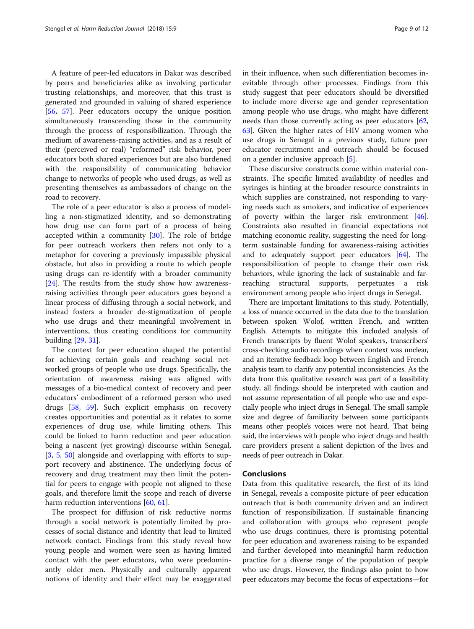A feature of peer-led educators in Dakar was described by peers and beneficiaries alike as involving particular trusting relationships, and moreover, that this trust is generated and grounded in valuing of shared experience [[56,](#page-11-0) [57\]](#page-11-0). Peer educators occupy the unique position simultaneously transcending those in the community through the process of responsibilization. Through the medium of awareness-raising activities, and as a result of their (perceived or real) "reformed" risk behavior, peer educators both shared experiences but are also burdened with the responsibility of communicating behavior change to networks of people who used drugs, as well as presenting themselves as ambassadors of change on the road to recovery.

The role of a peer educator is also a process of modelling a non-stigmatized identity, and so demonstrating how drug use can form part of a process of being accepted within a community [[30\]](#page-10-0). The role of bridge for peer outreach workers then refers not only to a metaphor for covering a previously impassible physical obstacle, but also in providing a route to which people using drugs can re-identify with a broader community [[24\]](#page-10-0). The results from the study show how awarenessraising activities through peer educators goes beyond a linear process of diffusing through a social network, and instead fosters a broader de-stigmatization of people who use drugs and their meaningful involvement in interventions, thus creating conditions for community building [\[29](#page-10-0), [31\]](#page-10-0).

The context for peer education shaped the potential for achieving certain goals and reaching social networked groups of people who use drugs. Specifically, the orientation of awareness raising was aligned with messages of a bio-medical context of recovery and peer educators' embodiment of a reformed person who used drugs [\[58](#page-11-0), [59](#page-11-0)]. Such explicit emphasis on recovery creates opportunities and potential as it relates to some experiences of drug use, while limiting others. This could be linked to harm reduction and peer education being a nascent (yet growing) discourse within Senegal, [[3,](#page-9-0) [5](#page-9-0), [50](#page-10-0)] alongside and overlapping with efforts to support recovery and abstinence. The underlying focus of recovery and drug treatment may then limit the potential for peers to engage with people not aligned to these goals, and therefore limit the scope and reach of diverse harm reduction interventions [\[60](#page-11-0), [61](#page-11-0)].

The prospect for diffusion of risk reductive norms through a social network is potentially limited by processes of social distance and identity that lead to limited network contact. Findings from this study reveal how young people and women were seen as having limited contact with the peer educators, who were predominantly older men. Physically and culturally apparent notions of identity and their effect may be exaggerated in their influence, when such differentiation becomes inevitable through other processes. Findings from this study suggest that peer educators should be diversified to include more diverse age and gender representation among people who use drugs, who might have different needs than those currently acting as peer educators [[62](#page-11-0), [63\]](#page-11-0). Given the higher rates of HIV among women who use drugs in Senegal in a previous study, future peer educator recruitment and outreach should be focused on a gender inclusive approach [[5](#page-9-0)].

These discursive constructs come within material constraints. The specific limited availability of needles and syringes is hinting at the broader resource constraints in which supplies are constrained, not responding to varying needs such as smokers, and indicative of experiences of poverty within the larger risk environment [[46](#page-10-0)]. Constraints also resulted in financial expectations not matching economic reality, suggesting the need for longterm sustainable funding for awareness-raising activities and to adequately support peer educators [\[64\]](#page-11-0). The responsibilization of people to change their own risk behaviors, while ignoring the lack of sustainable and farreaching structural supports, perpetuates a risk environment among people who inject drugs in Senegal.

There are important limitations to this study. Potentially, a loss of nuance occurred in the data due to the translation between spoken Wolof, written French, and written English. Attempts to mitigate this included analysis of French transcripts by fluent Wolof speakers, transcribers' cross-checking audio recordings when context was unclear, and an iterative feedback loop between English and French analysis team to clarify any potential inconsistencies. As the data from this qualitative research was part of a feasibility study, all findings should be interpreted with caution and not assume representation of all people who use and especially people who inject drugs in Senegal. The small sample size and degree of familiarity between some participants means other people's voices were not heard. That being said, the interviews with people who inject drugs and health care providers present a salient depiction of the lives and needs of peer outreach in Dakar.

## Conclusions

Data from this qualitative research, the first of its kind in Senegal, reveals a composite picture of peer education outreach that is both community driven and an indirect function of responsibilization. If sustainable financing and collaboration with groups who represent people who use drugs continues, there is promising potential for peer education and awareness raising to be expanded and further developed into meaningful harm reduction practice for a diverse range of the population of people who use drugs. However, the findings also point to how peer educators may become the focus of expectations—for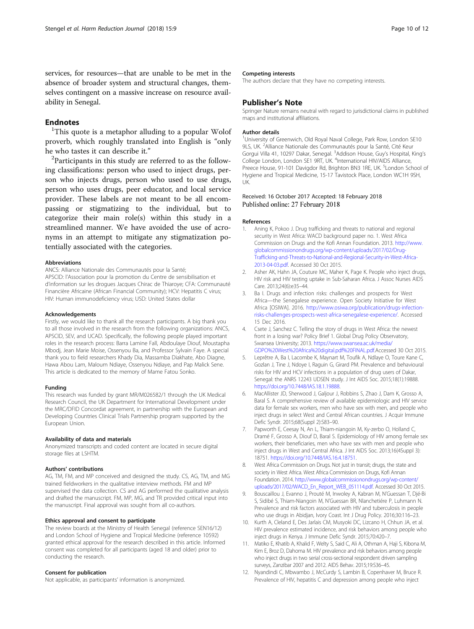<span id="page-9-0"></span>services, for resources—that are unable to be met in the absence of broader system and structural changes, themselves contingent on a massive increase on resource availability in Senegal.

## **Endnotes**

<sup>1</sup>This quote is a metaphor alluding to a popular Wolof proverb, which roughly translated into English is "only he who tastes it can describe it." <sup>2</sup>

<sup>2</sup>Participants in this study are referred to as the following classifications: person who used to inject drugs, person who injects drugs, person who used to use drugs, person who uses drugs, peer educator, and local service provider. These labels are not meant to be all encompassing or stigmatizing to the individual, but to categorize their main role(s) within this study in a streamlined manner. We have avoided the use of acronyms in an attempt to mitigate any stigmatization potentially associated with the categories.

#### Abbreviations

ANCS: Alliance Nationale des Communautés pour la Santé; APSCID: l'Association pour la promotion du Centre de sensibilisation et d'information sur les drogues Jacques Chirac de Thiaroye; CFA: Communauté Financière Africaine (African Financial Community); HCV: Hepatitis C virus; HIV: Human immunodeficiency virus; USD: United States dollar

#### Acknowledgements

Firstly, we would like to thank all the research participants. A big thank you to all those involved in the research from the following organizations: ANCS, APSCID, SEV, and UCAD. Specifically, the following people played important roles in the research process: Barra Lamine Fall, Abdoulaye Diouf, Moustapha Mbodj, Jean Marie Moise, Ossenyou Ba, and Professor Sylvain Faye. A special thank you to field researchers Khady Dia, Massamba Diakhate, Abo Diagne, Hawa Abou Lam, Maloum Ndiaye, Ossenyou Ndiaye, and Pap Malick Sene. This article is dedicated to the memory of Mame Fatou Sonko.

#### Funding

This research was funded by grant MR/M026582/1 through the UK Medical Research Council, the UK Department for International Development under the MRC/DFID Concordat agreement, in partnership with the European and Developing Countries Clinical Trials Partnership program supported by the European Union.

#### Availability of data and materials

Anonymized transcripts and coded content are located in secure digital storage files at LSHTM.

#### Authors' contributions

AG, TM, FM, and MP conceived and designed the study. CS, AG, TM, and MG trained fieldworkers in the qualitative interview methods. FM and MP supervised the data collection. CS and AG performed the qualitative analysis and drafted the manuscript. FM, MP, MG, and TR provided critical input into the manuscript. Final approval was sought from all co-authors.

#### Ethics approval and consent to participate

The review boards at the Ministry of Health Senegal (reference SEN16/12) and London School of Hygiene and Tropical Medicine (reference 10592) granted ethical approval for the research described in this article. Informed consent was completed for all participants (aged 18 and older) prior to conducting the research.

#### Consent for publication

Not applicable, as participants' information is anonymized.

#### Competing interests

The authors declare that they have no competing interests.

## Publisher's Note

Springer Nature remains neutral with regard to jurisdictional claims in published maps and institutional affiliations.

#### Author details

<sup>1</sup>University of Greenwich, Old Royal Naval College, Park Row, London SE10 9LS, UK. <sup>2</sup>Alliance Nationale des Communautés pour la Santé, Cité Keur Gorgui Villa 41, 10297 Dakar, Senegal. <sup>3</sup>Addison House, Guy's Hospital, King's College London, London SE1 9RT, UK. <sup>4</sup>International HIV/AIDS Alliance Preece House, 91-101 Davigdor Rd, Brighton BN3 1RE, UK. <sup>5</sup>London School of Hygiene and Tropical Medicine, 15-17 Tavistock Place, London WC1H 9SH, UK.

# Received: 16 October 2017 Accepted: 18 February 2018

#### References

- 1. Aning K, Pokoo J. Drug trafficking and threats to national and regional security in West Africa: WACD background paper no. 1. West Africa Commission on Drugs and the Kofi Annan Foundation. 2013. [http://www.](http://www.globalcommissionondrugs.org/wp-content/uploads/2017/02/Drug-Trafficking-and-Threats-to-National-and-Regional-Security-in-West-Africa-2013-04-03.pdf) [globalcommissionondrugs.org/wp-content/uploads/2017/02/Drug-](http://www.globalcommissionondrugs.org/wp-content/uploads/2017/02/Drug-Trafficking-and-Threats-to-National-and-Regional-Security-in-West-Africa-2013-04-03.pdf)[Trafficking-and-Threats-to-National-and-Regional-Security-in-West-Africa-](http://www.globalcommissionondrugs.org/wp-content/uploads/2017/02/Drug-Trafficking-and-Threats-to-National-and-Regional-Security-in-West-Africa-2013-04-03.pdf)[2013-04-03.pdf.](http://www.globalcommissionondrugs.org/wp-content/uploads/2017/02/Drug-Trafficking-and-Threats-to-National-and-Regional-Security-in-West-Africa-2013-04-03.pdf) Accessed 30 Oct 2015.
- 2. Asher AK, Hahn JA, Couture MC, Maher K, Page K. People who inject drugs, HIV risk and HIV testing uptake in Sub-Saharan Africa. J Assoc Nurses AIDS Care. 2013;24(6):e35–44.
- 3. Ba I. Drugs and infection risks: challenges and prospects for West Africa—the Senegalese experience. Open Society Initiative for West Africa [OSIWA]. 2016. [http://www.osiwa.org/publication/drugs-infection](http://www.osiwa.org/publication/drugs-infection-risks-challenges-prospects-west-africa-senegalese-experience)[risks-challenges-prospects-west-africa-senegalese-experience/.](http://www.osiwa.org/publication/drugs-infection-risks-challenges-prospects-west-africa-senegalese-experience) Accessed 15 Dec 2016.
- 4. Csete J, Sanchez C. Telling the story of drugs in West Africa: the newest front in a losing war? Policy Brief 1. Global Drug Policy Observatory, Swansea University; 2013. [https://www.swansea.ac.uk/media/](https://www.swansea.ac.uk/media/GDPO%20West%20Africa%20digital.pdf%20FINAL.pdf) [GDPO%20West%20Africa%20digital.pdf%20FINAL.pdf.](https://www.swansea.ac.uk/media/GDPO%20West%20Africa%20digital.pdf%20FINAL.pdf)Accessed 30 Oct 2015.
- 5. Leprêtre A, Ba I, Lacombe K, Maynart M, Toufik A, Ndlaye O, Toure Kane C, Gozlan J, Tine J, Ndoye I, Raguin G, Girard PM. Prevalence and behavioural risks for HIV and HCV infections in a population of drug users of Dakar, Senegal: the ANRS 12243 UDSEN study. J Int AIDS Soc. 2015;18(1):19888. [https://doi.org/10.7448/IAS.18.1.19888.](https://doi.org/10.7448/IAS.18.1.19888)
- 6. MacAllister JD, Sherwood J, Galjour J, Robbins S, Zhao J, Dam K, Grosso A, Baral S. A comprehensive review of available epidemiologic and HIV service data for female sex workers, men who have sex with men, and people who inject drugs in select West and Central African countries. J Acquir Immune Defic Syndr. 2015;68(Suppl 2):S83–90.
- 7. Papworth E, Ceesay N, An L, Thiam-niangoin M, Ky-zerbo O, Holland C, Dramé F, Grosso A, Diouf D, Baral S. Epidemiology of HIV among female sex workers, their beneficiaries, men who have sex with men and people who inject drugs in West and Central Africa. J Int AIDS Soc. 2013;16(4Suppl 3): 18751. <https://doi.org/10.7448/IAS.16.4.18751>.
- 8. West Africa Commission on Drugs. Not just in transit; drugs, the state and society in West Africa. West Africa Commission on Drugs, Kofi Annan Foundation. 2014. [http://www.globalcommissionondrugs.org/wp-content/](http://www.globalcommissionondrugs.org/wp-content/uploads/2017/02/WACD_En_Report_WEB_051114.pdf) [uploads/2017/02/WACD\\_En\\_Report\\_WEB\\_051114.pdf.](http://www.globalcommissionondrugs.org/wp-content/uploads/2017/02/WACD_En_Report_WEB_051114.pdf) Accessed 30 Oct 2015.
- 9. Bouscaillou J, Evanno J, Prouté M, Inwoley A, Kabran M, N'Guessan T, Djé-Bi S, Sidibé S, Thiam-Niangoin M, N'Guessan BR, Nlanchetiére P, Luhmann N. Prevalence and risk factors associated with HIV and tuberculosis in people who use drugs in Abidjan, Ivory Coast. Int J Drug Policy. 2016;30:116–23.
- 10. Kurth A, Cleland E, Des Jarlais CM, Musyoki DC, Lizcano H, Chhun JA, et al. HIV prevalence estimated incidence, and risk behaviors among people who inject drugs in Kenya. J Immune Defic Syndr. 2015;70:420–7.
- 11. Matiko E, Khatib A, Khalid F, Welty S, Said C, Ali A, Othman A, Haji S, Kibona M, Kim E, Broz D, Dahoma M. HIV prevalence and risk behaviors among people who inject drugs in two serial cross-sectional respondent driven sampling surveys, Zanzibar 2007 and 2012. AIDS Behav. 2015;19:S36–45.
- 12. Nyandindi C, Mbwambo J, McCurdy S, Lambin B, Copenhaver M, Bruce R. Prevalence of HIV, hepatitis C and depression among people who inject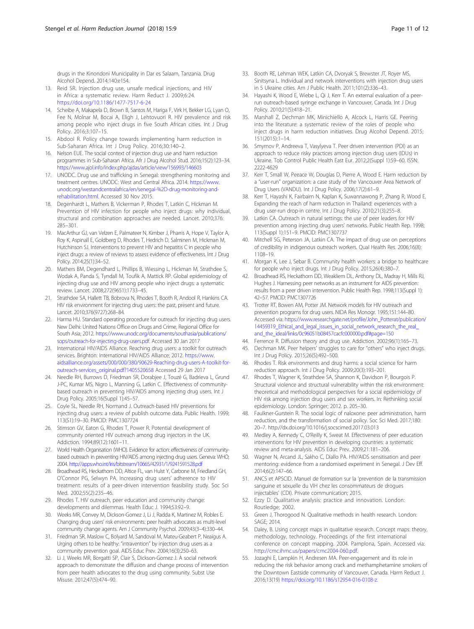<span id="page-10-0"></span>drugs in the Kinondoni Municipality in Dar es Salaam, Tanzania. Drug Alcohol Depend. 2014;140:e154.

- 13. Reid SR. Injection drug use, unsafe medical injections, and HIV in Africa: a systematic review. Harm Reduct J. 2009;6:24. <https://doi.org/10.1186/1477-7517-6-24>
- 14. Scheibe A, Makapela D, Brown B, Santos M, Hariga F, Virk H, Bekker LG, Lyan O, Fee N, Molnar M, Bocai A, Eligh J, Lehtovuori R. HIV prevalence and risk among people who inject drugs in five South African cities. Int J Drug Policy. 2016;3:107–15.
- 15. Abdool R. Policy change towards implementing harm reduction in Sub-Saharan Africa. Int J Drug Policy. 2016;30:140–2.
- 16. Nelson EUE. The social context of injection drug use and harm reduction programmes in Sub-Saharan Africa. Afr J Drug Alcohol Stud. 2016;15(2):123–34. <https://www.ajol.info/index.php/ajdas/article/view/156993/146603>
- 17. UNODC. Drug use and trafficking in Senegal: strengthening monitoring and treatment centres. UNODC: West and Central Africa. 2014. [https://www.](https://www.unodc.org/westandcentralafrica/en/senegal-%2D-drug-monitoring-and-rehabilitation.html) [unodc.org/westandcentralafrica/en/senegal-%2D-drug-monitoring-and](https://www.unodc.org/westandcentralafrica/en/senegal-%2D-drug-monitoring-and-rehabilitation.html)[rehabilitation.html](https://www.unodc.org/westandcentralafrica/en/senegal-%2D-drug-monitoring-and-rehabilitation.html). Accessed 30 Nov 2015.
- 18. Degenhardt L, Mathers B, Vickerman P, Rhodes T, Latkin C, Hickman M. Prevention of HIV infection for people who inject drugs: why individual, structural and combination approaches are needed. Lancet. 2010;376: 285–301.
- 19. MacArthur GJ, van Velzen E, Palmateer N, Kimber J, Pharris A, Hope V, Taylor A, Roy K, Aspinall E, Goldberg D, Rhodes T, Hedrich D, Salminen M, Hickman M, Hutchinson SJ. Interventions to prevent HIV and hepatitis C in people who inject drugs: a review of reviews to assess evidence of effectiveness. Int J Drug Policy. 2014;25(1):34–52.
- 20. Mathers BM, Degendhard L, Phillips B, Wiessing L, Hickman M, Strathdee S, Wodak A, Panda S, Tyndall M, Toufik A, Mattick RP. Global epidemiology of injecting drug use and HIV among people who inject drugs: a systematic review. Lancet. 2008;272(9651):1733–45.
- 21. Strathdee SA, Hallett TB, Bobrova N, Rhodes T, Booth R, Andool R, Hankins CA. HIV risk environment for injecting drug users: the past, present and future. Lancet. 2010;376(9727):268–84.
- 22. Harma HU. Standard operating procedure for outreach for injecting drug users. New Delhi: United Nations Office on Drugs and Crime, Regional Office for South Asia; 2012. [https://www.unodc.org/documents/southasia/publications/](https://www.unodc.org/documents/southasia/publications/sops/outreach-for-injecting-drug-users.pdf) [sops/outreach-for-injecting-drug-users.pdf.](https://www.unodc.org/documents/southasia/publications/sops/outreach-for-injecting-drug-users.pdf) Accessed 30 Jan 2017
- 23. International HIV/AIDS Alliance. Reaching drug users: a toolkit for outreach services. Brighton: International HIV/AIDS Alliance; 2012. [https://www.](https://www.aidsalliance.org/assets/000/000/380/90629-Reaching-drug-users-A-toolkit-for-outreach-services_original.pdf?1405520658) [aidsalliance.org/assets/000/000/380/90629-Reaching-drug-users-A-toolkit-for](https://www.aidsalliance.org/assets/000/000/380/90629-Reaching-drug-users-A-toolkit-for-outreach-services_original.pdf?1405520658)[outreach-services\\_original.pdf?1405520658](https://www.aidsalliance.org/assets/000/000/380/90629-Reaching-drug-users-A-toolkit-for-outreach-services_original.pdf?1405520658) Accessed 29 Jan 2017
- 24. Needle RH, Burrows D, Friedman SR, Dorabjee J, Touzé G, Badrieva L, Grund J-PC, Kumar MS, Nigro L, Manning G, Latkin C. Effectiveness of communitybased outreach in preventing HIV/AIDS among injecting drug users. Int J Drug Policy. 2005;16(Suppl 1):45–57.
- 25. Coyle SL, Needle RH, Normand J. Outreach-based HIV preventions for injecting drug users: a review of publish outcome data. Public Health. 1999; 113(S1):19–30. PMCID: PMC1307724
- 26. Stimson GV, Eaton G, Rhodes T, Power R. Potential development of community oriented HIV outreach among drug injectors in the UK. Addiction. 1994;89(12):1601–11.
- 27. World Health Organisation (WHO). Evidence for action: effectiveness of communitybased outreach in preventing HIV/AIDS among injecting drug users. Geneva: WHO; 2004. <http://apps.who.int/iris/bitstream/10665/42931/1/9241591528.pdf>
- 28. Broadhead RS, Heckathorn DD, Altice FL, van Hulst Y, Carbone M, Friedland GH, O'Connor PG, Selwyn PA. Increasing drug users' adherence to HIV treatment: results of a peer-driven intervention feasibility study. Soc Sci Med. 2002;55(2):235–46.
- 29. Rhodes T. HIV outreach, peer education and community change: developments and dilemmas. Health Educ J. 1994;53:92–9.
- 30. Weeks MR, Convey M, Dickson-Gomez J, Li J, Radda K, Martinez M, Robles E. Changing drug users' risk environments: peer health advocates as multi-level community change agents. Am J Community Psychol. 2009;43(3–4):330–44.
- 31. Friedman SR, Maslow C, Bolyard M, Sandoval M, Mateu-Geabert P, Neaigus A. Urging others to be healthy: "intravention" by injection drug users as a community prevention goal. AIDS Educ Prev. 2004;16(3):250–63.
- 32. Li J, Weeks MR, Borgatti SP, Clair S, Dickson-Gomez J. A social network approach to demonstrate the diffusion and change process of intervention from peer health advocates to the drug using community. Subst Use Misuse. 2012;47(5):474–90.
- 33. Booth RE, Lehman WEK, Latkin CA, Dvoryak S, Brewster JT, Royer MS, Sinitsyna L. Individual and network interventions with injection drug users in 5 Ukraine cities. Am J Public Health. 2011;101(2):336–43.
- 34. Hayashi K, Wood E, Wiebe L, Qi J, Kerr T. An external evaluation of a peerrun outreach-based syringe exchange in Vancouver, Canada. Int J Drug Policy. 2010;21(5):418–21.
- 35. Marshall Z, Dechman MK, Minichiello A, Alcock L, Harris GE. Peering into the literature: a systematic review of the roles of people who inject drugs in harm reduction initiatives. Drug Alcohol Depend. 2015; 151(2015):1–14.
- 36. Smyrnov P, Andreeva T, Vasylyeva T. Peer driven intervention (PDI) as an approach to reduce risky practices among injection drug users (IDUs) in Ukraine. Tob Control Public Health East Eur. 2012;2(Suppl 1):59–60. ISSN: 2222-4629
- 37. Kerr T, Small W, Peeace W, Douglas D, Pierre A, Wood E. Harm reduction by a "user-run" organization: a case study of the Vancouver Area Network of Drug Users (VANDU). Int J Drug Policy. 2006;17(2):61–9.
- 38. Kerr T, Hayashi K, Fairbairn N, Kaplan K, Suwannawong P, Zhang R, Wood E. Expanding the reach of harm reduction in Thailand: experiences with a drug user-run drop-in centre. Int J Drug Policy. 2010;21(3):255–8.
- 39. Latkin CA. Outreach in natural settings: the use of peer leaders for HIV prevention among injecting drug users' networks. Public Health Rep. 1998; 113(Suppl 1):151–9. PMCID: PMC1307737
- 40. Mitchell SG, Peterson JA, Latkin CA. The impact of drug use on perceptions of credibility in indigenous outreach workers. Qual Health Res. 2006;16(8): 1108–19.
- 41. Morgan K, Lee J, Sebar B. Community health workers: a bridge to healthcare for people who inject drugs. Int J Drug Policy. 2015;26(4):380–7.
- 42. Broadhead RS, Heckathorn DD, Weakliem DL, Anthony DL, Madray H, Mills RJ, Hughes J. Harnessing peer networks as an instrument for AIDS prevention: results from a peer driven intervention. Public Health Rep. 1998;113(Suppl 1): 42–57. PMCID: PMC1307726
- 43. Trotter RT, Bowen AM, Potter JM. Network models for HIV outreach and prevention programs for drug users. NIDA Res Monogr. 1995;151:144–80. Accessed via: [https://www.researchgate.net/profile/John\\_Potterat/publication/](https://www.researchgate.net/profile/John_Potterat/publication/14459319_Ethical_and_legal_issues_in_social_network_research_the_real_and_the_ideal/links/0c96051b08457cacfc000000.pdf#page=150) [14459319\\_Ethical\\_and\\_legal\\_issues\\_in\\_social\\_network\\_research\\_the\\_real\\_](https://www.researchgate.net/profile/John_Potterat/publication/14459319_Ethical_and_legal_issues_in_social_network_research_the_real_and_the_ideal/links/0c96051b08457cacfc000000.pdf#page=150) [and\\_the\\_ideal/links/0c96051b08457cacfc000000.pdf#page=150](https://www.researchgate.net/profile/John_Potterat/publication/14459319_Ethical_and_legal_issues_in_social_network_research_the_real_and_the_ideal/links/0c96051b08457cacfc000000.pdf#page=150)
- 44. Ferrence R. Diffusion theory and drug use. Addiction. 2002;96(1):165–73.
- 45. Dechman MK. Peer helpers' struggles to care for "others" who inject drugs. Int J Drug Policy. 2015;26(5):492–500.
- 46. Rhodes T. Risk environments and drug harms: a social science for harm reduction approach. Int J Drug Policy. 2009;20(3):193–201.
- 47. Rhodes T, Wagner K, Strathdee SA, Shannon K, Davidson P, Bourgois P. Structural violence and structural vulnerability within the risk environment: theoretical and methodological perspectives for a social epidemiology of HIV risk among injection drug users and sex workers. In: Rethinking social epidemiology. London: Springer; 2012. p. 205–30.
- 48. Faulkner-Gurstein R. The social logic of naloxone: peer administration, harm reduction, and the transformation of social policy. Soc Sci Med. 2017;180: 20–7. http://dx.doi.org/10.1016/j.socscimed.2017.03.013
- 49. Medley A, Kennedy C, O'Reilly K, Sweat M. Effectiveness of peer education interventions for HIV prevention in developing countries: a systematic review and meta-analysis. AIDS Educ Prev. 2009;21:181–206.
- 50. Wagner N, Arcand JL, Sakho C, Diallo PA. HIV/AIDS sensitisation and peer mentoring: evidence from a randomised experiment in Senegal. J Dev Eff. 2014;6(2):147–66.
- 51. ANCS et APSCID. Manuel de formation sur la 'prevention de la transmission sanguine et sexuelle du VIH chez les consommateurs de drogues injectables' (CDI). Private communication; 2015.
- 52. Ezzy D. Qualitative analysis: practice and innovation. London: Routledge; 2002.
- 53. Green J, Thorogood N. Qualitative methods in health research. London: SAGE; 2014.
- 54. Daley, B. Using concept maps in qualitative research. Concept maps: theory, methodology, technology. Proceedings of the first international conference on concept mapping. 2004. Pamplona, Spain. Accessed via: [http://cmc.ihmc.us/papers/cmc2004-060.pdf.](http://cmc.ihmc.us/papers/cmc2004-060.pdf)
- 55. Jozaghi E, Lampkin H, Andresen MA. Peer-engagement and its role in reducing the risk behavior among crack and methamphetamine smokers of the Downtown Eastside community of Vancouver, Canada. Harm Reduct J. 2016;13(19) [https://doi.org/10.1186/s12954-016-0108-z.](https://doi.org/10.1186/s12954-016-0108-z)